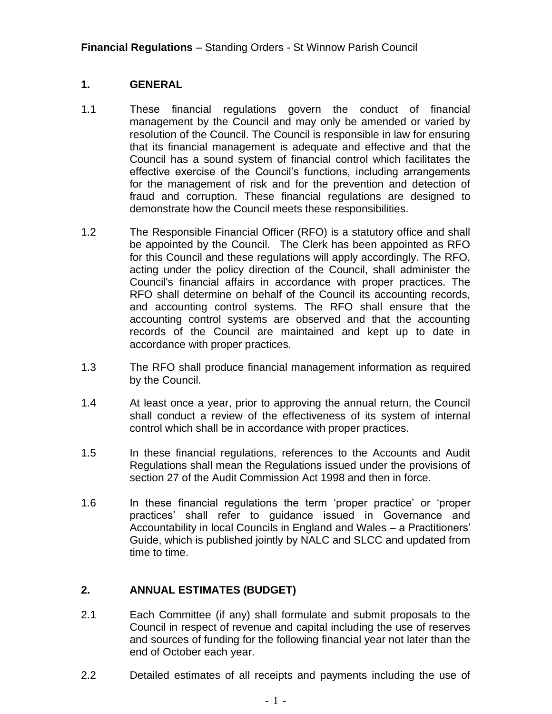#### **1. GENERAL**

- 1.1 These financial regulations govern the conduct of financial management by the Council and may only be amended or varied by resolution of the Council. The Council is responsible in law for ensuring that its financial management is adequate and effective and that the Council has a sound system of financial control which facilitates the effective exercise of the Council's functions, including arrangements for the management of risk and for the prevention and detection of fraud and corruption. These financial regulations are designed to demonstrate how the Council meets these responsibilities.
- 1.2 The Responsible Financial Officer (RFO) is a statutory office and shall be appointed by the Council. The Clerk has been appointed as RFO for this Council and these regulations will apply accordingly. The RFO, acting under the policy direction of the Council, shall administer the Council's financial affairs in accordance with proper practices. The RFO shall determine on behalf of the Council its accounting records, and accounting control systems. The RFO shall ensure that the accounting control systems are observed and that the accounting records of the Council are maintained and kept up to date in accordance with proper practices.
- 1.3 The RFO shall produce financial management information as required by the Council.
- 1.4 At least once a year, prior to approving the annual return, the Council shall conduct a review of the effectiveness of its system of internal control which shall be in accordance with proper practices.
- 1.5 In these financial regulations, references to the Accounts and Audit Regulations shall mean the Regulations issued under the provisions of section 27 of the Audit Commission Act 1998 and then in force.
- 1.6 In these financial regulations the term 'proper practice' or 'proper practices' shall refer to guidance issued in Governance and Accountability in local Councils in England and Wales – a Practitioners' Guide, which is published jointly by NALC and SLCC and updated from time to time.

## **2. ANNUAL ESTIMATES (BUDGET)**

- 2.1 Each Committee (if any) shall formulate and submit proposals to the Council in respect of revenue and capital including the use of reserves and sources of funding for the following financial year not later than the end of October each year.
- 2.2 Detailed estimates of all receipts and payments including the use of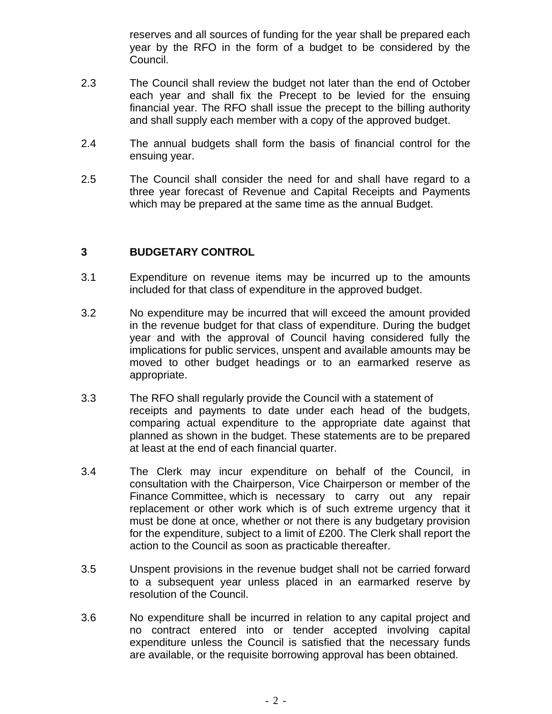reserves and all sources of funding for the year shall be prepared each year by the RFO in the form of a budget to be considered by the Council.

- 2.3 The Council shall review the budget not later than the end of October each year and shall fix the Precept to be levied for the ensuing financial year. The RFO shall issue the precept to the billing authority and shall supply each member with a copy of the approved budget.
- 2.4 The annual budgets shall form the basis of financial control for the ensuing year.
- 2.5 The Council shall consider the need for and shall have regard to a three year forecast of Revenue and Capital Receipts and Payments which may be prepared at the same time as the annual Budget.

### **3 BUDGETARY CONTROL**

- 3.1 Expenditure on revenue items may be incurred up to the amounts included for that class of expenditure in the approved budget.
- 3.2 No expenditure may be incurred that will exceed the amount provided in the revenue budget for that class of expenditure. During the budget year and with the approval of Council having considered fully the implications for public services, unspent and available amounts may be moved to other budget headings or to an earmarked reserve as appropriate.
- 3.3 The RFO shall regularly provide the Council with a statement of receipts and payments to date under each head of the budgets, comparing actual expenditure to the appropriate date against that planned as shown in the budget. These statements are to be prepared at least at the end of each financial quarter.
- 3.4 The Clerk may incur expenditure on behalf of the Council, in consultation with the Chairperson, Vice Chairperson or member of the Finance Committee, which is necessary to carry out any repair replacement or other work which is of such extreme urgency that it must be done at once, whether or not there is any budgetary provision for the expenditure, subject to a limit of £200. The Clerk shall report the action to the Council as soon as practicable thereafter.
- 3.5 Unspent provisions in the revenue budget shall not be carried forward to a subsequent year unless placed in an earmarked reserve by resolution of the Council.
- 3.6 No expenditure shall be incurred in relation to any capital project and no contract entered into or tender accepted involving capital expenditure unless the Council is satisfied that the necessary funds are available, or the requisite borrowing approval has been obtained.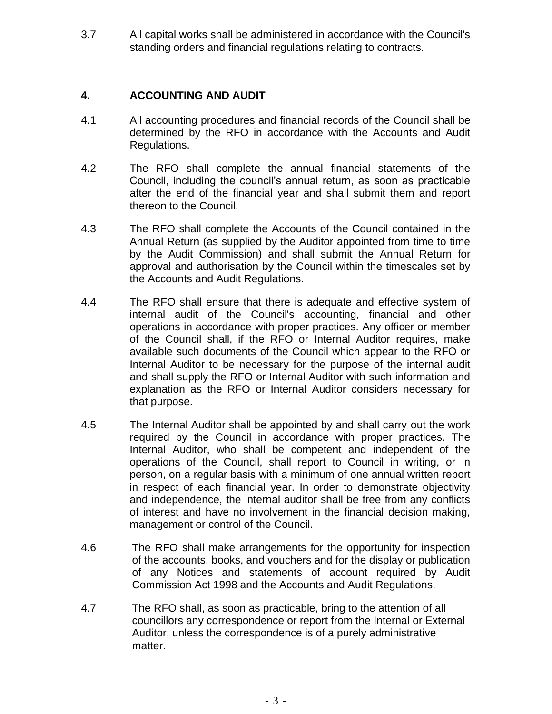3.7 All capital works shall be administered in accordance with the Council's standing orders and financial regulations relating to contracts.

### **4. ACCOUNTING AND AUDIT**

- 4.1 All accounting procedures and financial records of the Council shall be determined by the RFO in accordance with the Accounts and Audit Regulations.
- 4.2 The RFO shall complete the annual financial statements of the Council, including the council's annual return, as soon as practicable after the end of the financial year and shall submit them and report thereon to the Council.
- 4.3 The RFO shall complete the Accounts of the Council contained in the Annual Return (as supplied by the Auditor appointed from time to time by the Audit Commission) and shall submit the Annual Return for approval and authorisation by the Council within the timescales set by the Accounts and Audit Regulations.
- 4.4 The RFO shall ensure that there is adequate and effective system of internal audit of the Council's accounting, financial and other operations in accordance with proper practices. Any officer or member of the Council shall, if the RFO or Internal Auditor requires, make available such documents of the Council which appear to the RFO or Internal Auditor to be necessary for the purpose of the internal audit and shall supply the RFO or Internal Auditor with such information and explanation as the RFO or Internal Auditor considers necessary for that purpose.
- 4.5 The Internal Auditor shall be appointed by and shall carry out the work required by the Council in accordance with proper practices. The Internal Auditor, who shall be competent and independent of the operations of the Council, shall report to Council in writing, or in person, on a regular basis with a minimum of one annual written report in respect of each financial year. In order to demonstrate objectivity and independence, the internal auditor shall be free from any conflicts of interest and have no involvement in the financial decision making, management or control of the Council.
- 4.6 The RFO shall make arrangements for the opportunity for inspection of the accounts, books, and vouchers and for the display or publication of any Notices and statements of account required by Audit Commission Act 1998 and the Accounts and Audit Regulations.
- 4.7 The RFO shall, as soon as practicable, bring to the attention of all councillors any correspondence or report from the Internal or External Auditor, unless the correspondence is of a purely administrative matter.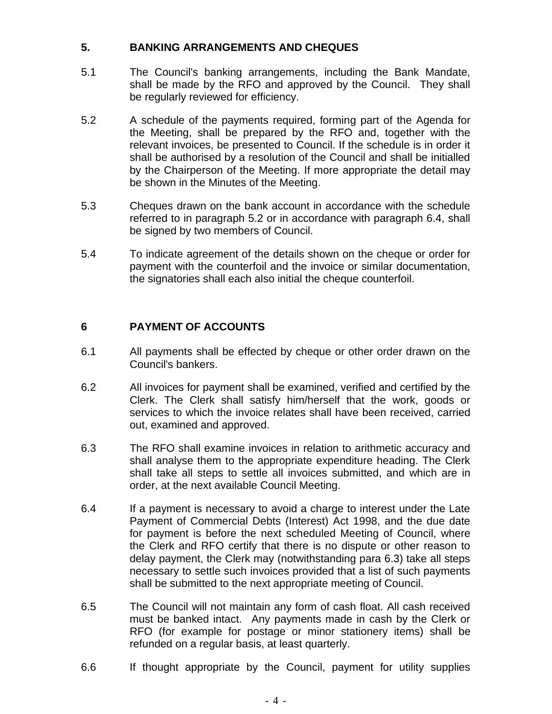### **5. BANKING ARRANGEMENTS AND CHEQUES**

- 5.1 The Council's banking arrangements, including the Bank Mandate, shall be made by the RFO and approved by the Council. They shall be regularly reviewed for efficiency.
- 5.2 A schedule of the payments required, forming part of the Agenda for the Meeting, shall be prepared by the RFO and, together with the relevant invoices, be presented to Council. If the schedule is in order it shall be authorised by a resolution of the Council and shall be initialled by the Chairperson of the Meeting. If more appropriate the detail may be shown in the Minutes of the Meeting.
- 5.3 Cheques drawn on the bank account in accordance with the schedule referred to in paragraph 5.2 or in accordance with paragraph 6.4, shall be signed by two members of Council.
- 5.4 To indicate agreement of the details shown on the cheque or order for payment with the counterfoil and the invoice or similar documentation, the signatories shall each also initial the cheque counterfoil.

# **6 PAYMENT OF ACCOUNTS**

- 6.1 All payments shall be effected by cheque or other order drawn on the Council's bankers.
- 6.2 All invoices for payment shall be examined, verified and certified by the Clerk. The Clerk shall satisfy him/herself that the work, goods or services to which the invoice relates shall have been received, carried out, examined and approved.
- 6.3 The RFO shall examine invoices in relation to arithmetic accuracy and shall analyse them to the appropriate expenditure heading. The Clerk shall take all steps to settle all invoices submitted, and which are in order, at the next available Council Meeting.
- 6.4 If a payment is necessary to avoid a charge to interest under the Late Payment of Commercial Debts (Interest) Act 1998, and the due date for payment is before the next scheduled Meeting of Council, where the Clerk and RFO certify that there is no dispute or other reason to delay payment, the Clerk may (notwithstanding para 6.3) take all steps necessary to settle such invoices provided that a list of such payments shall be submitted to the next appropriate meeting of Council.
- 6.5 The Council will not maintain any form of cash float. All cash received must be banked intact. Any payments made in cash by the Clerk or RFO (for example for postage or minor stationery items) shall be refunded on a regular basis, at least quarterly.
- 6.6 If thought appropriate by the Council, payment for utility supplies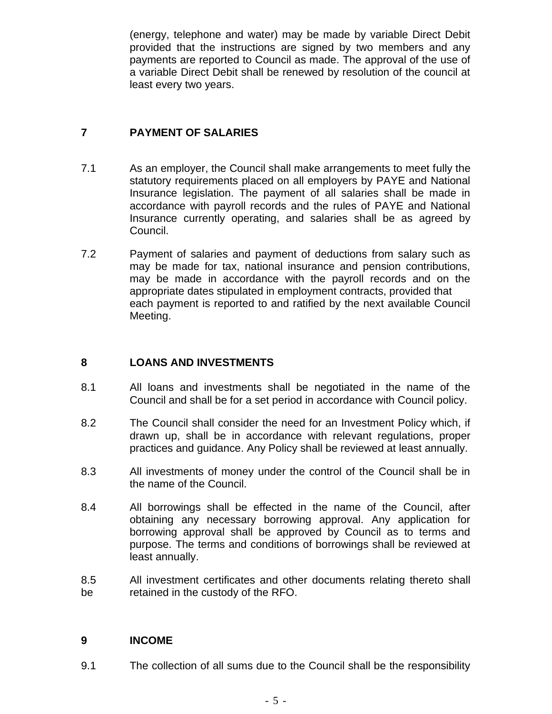(energy, telephone and water) may be made by variable Direct Debit provided that the instructions are signed by two members and any payments are reported to Council as made. The approval of the use of a variable Direct Debit shall be renewed by resolution of the council at least every two years.

# **7 PAYMENT OF SALARIES**

- 7.1 As an employer, the Council shall make arrangements to meet fully the statutory requirements placed on all employers by PAYE and National Insurance legislation. The payment of all salaries shall be made in accordance with payroll records and the rules of PAYE and National Insurance currently operating, and salaries shall be as agreed by Council.
- 7.2 Payment of salaries and payment of deductions from salary such as may be made for tax, national insurance and pension contributions, may be made in accordance with the payroll records and on the appropriate dates stipulated in employment contracts, provided that each payment is reported to and ratified by the next available Council Meeting.

## **8 LOANS AND INVESTMENTS**

- 8.1 All loans and investments shall be negotiated in the name of the Council and shall be for a set period in accordance with Council policy.
- 8.2 The Council shall consider the need for an Investment Policy which, if drawn up, shall be in accordance with relevant regulations, proper practices and guidance. Any Policy shall be reviewed at least annually.
- 8.3 All investments of money under the control of the Council shall be in the name of the Council.
- 8.4 All borrowings shall be effected in the name of the Council, after obtaining any necessary borrowing approval. Any application for borrowing approval shall be approved by Council as to terms and purpose. The terms and conditions of borrowings shall be reviewed at least annually.
- 8.5 All investment certificates and other documents relating thereto shall be retained in the custody of the RFO.

#### **9 INCOME**

9.1 The collection of all sums due to the Council shall be the responsibility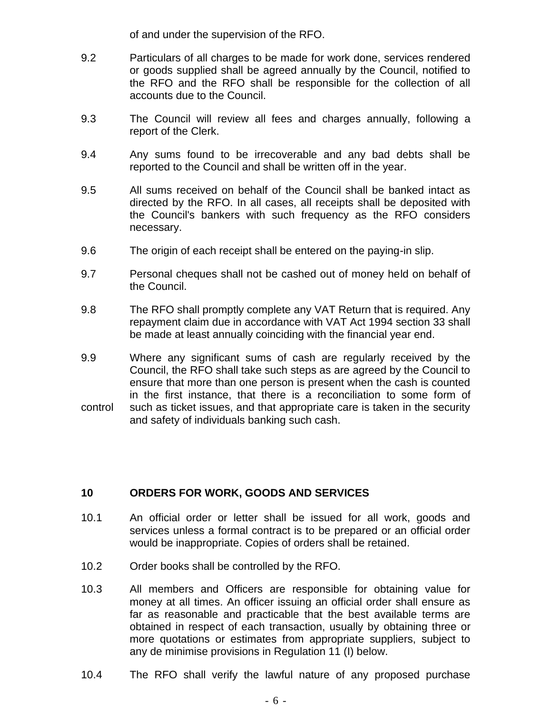of and under the supervision of the RFO.

- 9.2 Particulars of all charges to be made for work done, services rendered or goods supplied shall be agreed annually by the Council, notified to the RFO and the RFO shall be responsible for the collection of all accounts due to the Council.
- 9.3 The Council will review all fees and charges annually, following a report of the Clerk.
- 9.4 Any sums found to be irrecoverable and any bad debts shall be reported to the Council and shall be written off in the year.
- 9.5 All sums received on behalf of the Council shall be banked intact as directed by the RFO. In all cases, all receipts shall be deposited with the Council's bankers with such frequency as the RFO considers necessary.
- 9.6 The origin of each receipt shall be entered on the paying-in slip.
- 9.7 Personal cheques shall not be cashed out of money held on behalf of the Council.
- 9.8 The RFO shall promptly complete any VAT Return that is required. Any repayment claim due in accordance with VAT Act 1994 section 33 shall be made at least annually coinciding with the financial year end.
- 9.9 Where any significant sums of cash are regularly received by the Council, the RFO shall take such steps as are agreed by the Council to ensure that more than one person is present when the cash is counted in the first instance, that there is a reconciliation to some form of control such as ticket issues, and that appropriate care is taken in the security and safety of individuals banking such cash.

#### **10 ORDERS FOR WORK, GOODS AND SERVICES**

- 10.1 An official order or letter shall be issued for all work, goods and services unless a formal contract is to be prepared or an official order would be inappropriate. Copies of orders shall be retained.
- 10.2 Order books shall be controlled by the RFO.
- 10.3 All members and Officers are responsible for obtaining value for money at all times. An officer issuing an official order shall ensure as far as reasonable and practicable that the best available terms are obtained in respect of each transaction, usually by obtaining three or more quotations or estimates from appropriate suppliers, subject to any de minimise provisions in Regulation 11 (I) below.
- 10.4 The RFO shall verify the lawful nature of any proposed purchase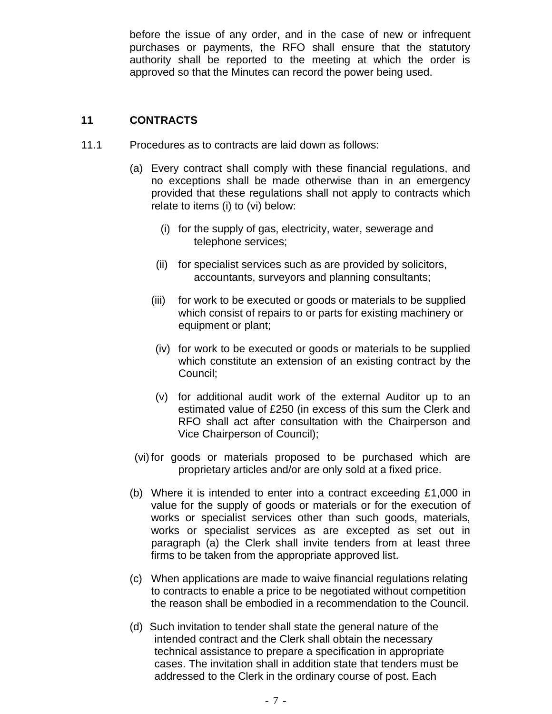before the issue of any order, and in the case of new or infrequent purchases or payments, the RFO shall ensure that the statutory authority shall be reported to the meeting at which the order is approved so that the Minutes can record the power being used.

### **11 CONTRACTS**

- 11.1 Procedures as to contracts are laid down as follows:
	- (a) Every contract shall comply with these financial regulations, and no exceptions shall be made otherwise than in an emergency provided that these regulations shall not apply to contracts which relate to items (i) to (vi) below:
		- (i) for the supply of gas, electricity, water, sewerage and telephone services;
		- (ii) for specialist services such as are provided by solicitors, accountants, surveyors and planning consultants;
		- (iii) for work to be executed or goods or materials to be supplied which consist of repairs to or parts for existing machinery or equipment or plant;
		- (iv) for work to be executed or goods or materials to be supplied which constitute an extension of an existing contract by the Council;
		- (v) for additional audit work of the external Auditor up to an estimated value of £250 (in excess of this sum the Clerk and RFO shall act after consultation with the Chairperson and Vice Chairperson of Council);
	- (vi)for goods or materials proposed to be purchased which are proprietary articles and/or are only sold at a fixed price.
	- (b) Where it is intended to enter into a contract exceeding £1,000 in value for the supply of goods or materials or for the execution of works or specialist services other than such goods, materials, works or specialist services as are excepted as set out in paragraph (a) the Clerk shall invite tenders from at least three firms to be taken from the appropriate approved list.
	- (c) When applications are made to waive financial regulations relating to contracts to enable a price to be negotiated without competition the reason shall be embodied in a recommendation to the Council.
	- (d) Such invitation to tender shall state the general nature of the intended contract and the Clerk shall obtain the necessary technical assistance to prepare a specification in appropriate cases. The invitation shall in addition state that tenders must be addressed to the Clerk in the ordinary course of post. Each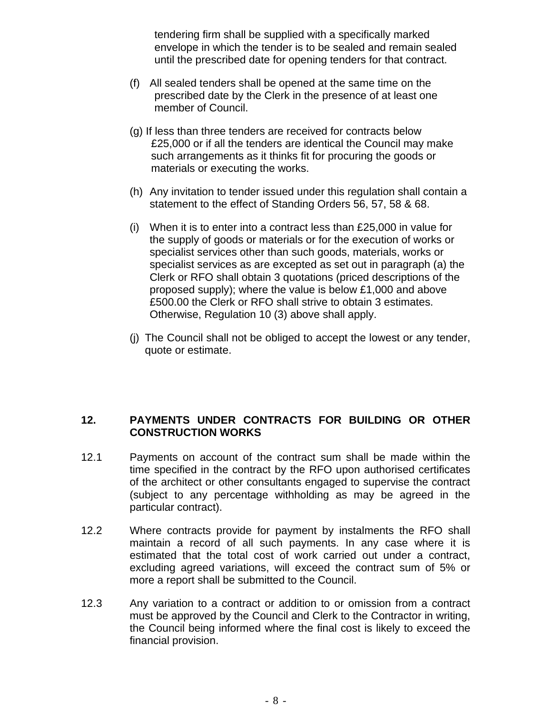tendering firm shall be supplied with a specifically marked envelope in which the tender is to be sealed and remain sealed until the prescribed date for opening tenders for that contract.

- (f) All sealed tenders shall be opened at the same time on the prescribed date by the Clerk in the presence of at least one member of Council.
- (g) If less than three tenders are received for contracts below £25,000 or if all the tenders are identical the Council may make such arrangements as it thinks fit for procuring the goods or materials or executing the works.
- (h) Any invitation to tender issued under this regulation shall contain a statement to the effect of Standing Orders 56, 57, 58 & 68.
- (i) When it is to enter into a contract less than £25,000 in value for the supply of goods or materials or for the execution of works or specialist services other than such goods, materials, works or specialist services as are excepted as set out in paragraph (a) the Clerk or RFO shall obtain 3 quotations (priced descriptions of the proposed supply); where the value is below £1,000 and above £500.00 the Clerk or RFO shall strive to obtain 3 estimates. Otherwise, Regulation 10 (3) above shall apply.
- (j) The Council shall not be obliged to accept the lowest or any tender, quote or estimate.

#### **12. PAYMENTS UNDER CONTRACTS FOR BUILDING OR OTHER CONSTRUCTION WORKS**

- 12.1 Payments on account of the contract sum shall be made within the time specified in the contract by the RFO upon authorised certificates of the architect or other consultants engaged to supervise the contract (subject to any percentage withholding as may be agreed in the particular contract).
- 12.2 Where contracts provide for payment by instalments the RFO shall maintain a record of all such payments. In any case where it is estimated that the total cost of work carried out under a contract, excluding agreed variations, will exceed the contract sum of 5% or more a report shall be submitted to the Council.
- 12.3 Any variation to a contract or addition to or omission from a contract must be approved by the Council and Clerk to the Contractor in writing, the Council being informed where the final cost is likely to exceed the financial provision.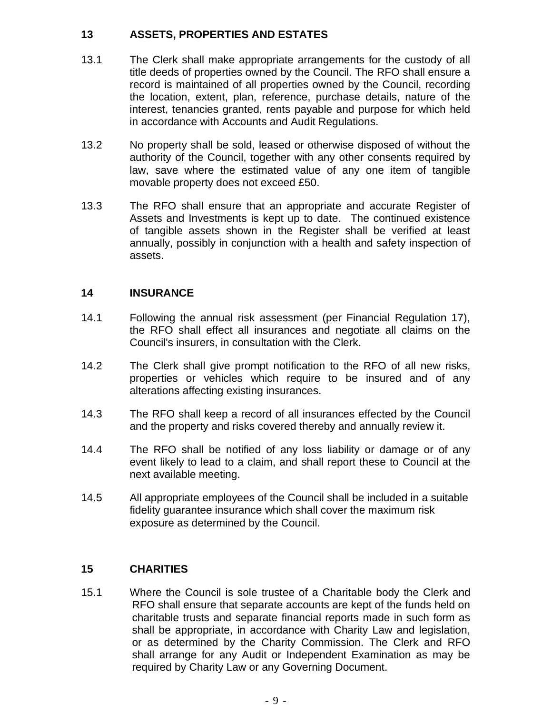## **13 ASSETS, PROPERTIES AND ESTATES**

- 13.1 The Clerk shall make appropriate arrangements for the custody of all title deeds of properties owned by the Council. The RFO shall ensure a record is maintained of all properties owned by the Council, recording the location, extent, plan, reference, purchase details, nature of the interest, tenancies granted, rents payable and purpose for which held in accordance with Accounts and Audit Regulations.
- 13.2 No property shall be sold, leased or otherwise disposed of without the authority of the Council, together with any other consents required by law, save where the estimated value of any one item of tangible movable property does not exceed £50.
- 13.3 The RFO shall ensure that an appropriate and accurate Register of Assets and Investments is kept up to date. The continued existence of tangible assets shown in the Register shall be verified at least annually, possibly in conjunction with a health and safety inspection of assets.

## **14 INSURANCE**

- 14.1 Following the annual risk assessment (per Financial Regulation 17), the RFO shall effect all insurances and negotiate all claims on the Council's insurers, in consultation with the Clerk.
- 14.2 The Clerk shall give prompt notification to the RFO of all new risks, properties or vehicles which require to be insured and of any alterations affecting existing insurances.
- 14.3 The RFO shall keep a record of all insurances effected by the Council and the property and risks covered thereby and annually review it.
- 14.4 The RFO shall be notified of any loss liability or damage or of any event likely to lead to a claim, and shall report these to Council at the next available meeting.
- 14.5 All appropriate employees of the Council shall be included in a suitable fidelity guarantee insurance which shall cover the maximum risk exposure as determined by the Council.

## **15 CHARITIES**

15.1 Where the Council is sole trustee of a Charitable body the Clerk and RFO shall ensure that separate accounts are kept of the funds held on charitable trusts and separate financial reports made in such form as shall be appropriate, in accordance with Charity Law and legislation, or as determined by the Charity Commission. The Clerk and RFO shall arrange for any Audit or Independent Examination as may be required by Charity Law or any Governing Document.